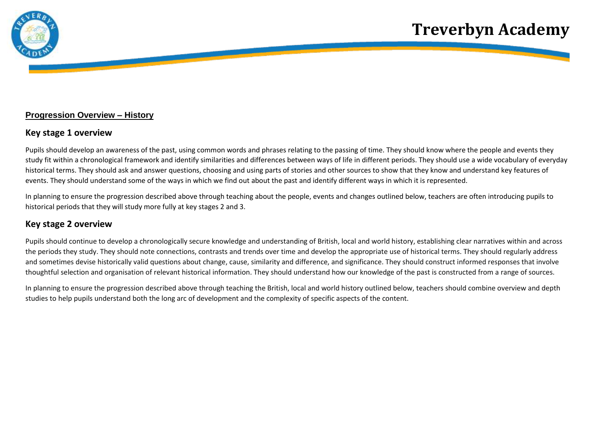

#### **Progression Overview – History**

#### **Key stage 1 overview**

Pupils should develop an awareness of the past, using common words and phrases relating to the passing of time. They should know where the people and events they study fit within a chronological framework and identify similarities and differences between ways of life in different periods. They should use a wide vocabulary of everyday historical terms. They should ask and answer questions, choosing and using parts of stories and other sources to show that they know and understand key features of events. They should understand some of the ways in which we find out about the past and identify different ways in which it is represented.

In planning to ensure the progression described above through teaching about the people, events and changes outlined below, teachers are often introducing pupils to historical periods that they will study more fully at key stages 2 and 3.

#### **Key stage 2 overview**

Pupils should continue to develop a chronologically secure knowledge and understanding of British, local and world history, establishing clear narratives within and across the periods they study. They should note connections, contrasts and trends over time and develop the appropriate use of historical terms. They should regularly address and sometimes devise historically valid questions about change, cause, similarity and difference, and significance. They should construct informed responses that involve thoughtful selection and organisation of relevant historical information. They should understand how our knowledge of the past is constructed from a range of sources.

In planning to ensure the progression described above through teaching the British, local and world history outlined below, teachers should combine overview and depth studies to help pupils understand both the long arc of development and the complexity of specific aspects of the content.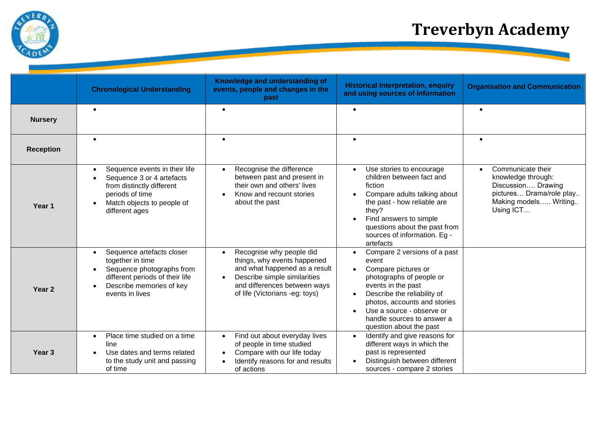

|                   | <b>Chronological Understanding</b>                                                                                                                                        | Knowledge and understanding of<br>events, people and changes in the<br>past                                                                                                                | <b>Historical Interpretation, enquiry</b><br>and using sources of information                                                                                                                                                                                       | <b>Organisation and Communication</b>                                                                                           |
|-------------------|---------------------------------------------------------------------------------------------------------------------------------------------------------------------------|--------------------------------------------------------------------------------------------------------------------------------------------------------------------------------------------|---------------------------------------------------------------------------------------------------------------------------------------------------------------------------------------------------------------------------------------------------------------------|---------------------------------------------------------------------------------------------------------------------------------|
| <b>Nursery</b>    | $\bullet$                                                                                                                                                                 |                                                                                                                                                                                            | $\bullet$                                                                                                                                                                                                                                                           | $\bullet$                                                                                                                       |
| <b>Reception</b>  | $\bullet$                                                                                                                                                                 | $\bullet$                                                                                                                                                                                  | $\bullet$                                                                                                                                                                                                                                                           | $\bullet$                                                                                                                       |
| Year 1            | Sequence events in their life<br>Sequence 3 or 4 artefacts<br>from distinctly different<br>periods of time<br>Match objects to people of<br>different ages                | Recognise the difference<br>between past and present in<br>their own and others' lives<br>Know and recount stories<br>about the past                                                       | Use stories to encourage<br>children between fact and<br>fiction<br>Compare adults talking about<br>the past - how reliable are<br>they?<br>Find answers to simple<br>questions about the past from<br>sources of information. Eg -<br>artefacts                    | Communicate their<br>knowledge through:<br>Discussion Drawing<br>pictures Drama/role play<br>Making models Writing<br>Using ICT |
| Year <sub>2</sub> | Sequence artefacts closer<br>$\bullet$<br>together in time<br>Sequence photographs from<br>different periods of their life<br>Describe memories of key<br>events in lives | Recognise why people did<br>things, why events happened<br>and what happened as a result<br>Describe simple similarities<br>and differences between ways<br>of life (Victorians -eg: toys) | Compare 2 versions of a past<br>event<br>Compare pictures or<br>photographs of people or<br>events in the past<br>Describe the reliability of<br>photos, accounts and stories<br>Use a source - observe or<br>handle sources to answer a<br>question about the past |                                                                                                                                 |
| Year <sub>3</sub> | Place time studied on a time<br>$\bullet$<br>line<br>Use dates and terms related<br>to the study unit and passing<br>of time                                              | Find out about everyday lives<br>of people in time studied<br>Compare with our life today<br>Identify reasons for and results<br>of actions                                                | Identify and give reasons for<br>different ways in which the<br>past is represented<br>Distinguish between different<br>sources - compare 2 stories                                                                                                                 |                                                                                                                                 |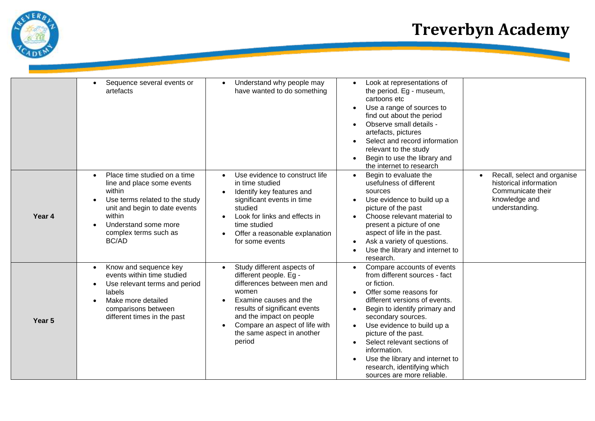

|                   | Sequence several events or<br>artefacts                                                                                                                                                                     | Understand why people may<br>have wanted to do something                                                                                                                                                                                                      | Look at representations of<br>the period. Eg - museum,<br>cartoons etc<br>Use a range of sources to<br>find out about the period<br>Observe small details -<br>artefacts, pictures<br>Select and record information<br>relevant to the study<br>Begin to use the library and<br>the internet to research                                                                                                       |                                                                                                               |
|-------------------|-------------------------------------------------------------------------------------------------------------------------------------------------------------------------------------------------------------|---------------------------------------------------------------------------------------------------------------------------------------------------------------------------------------------------------------------------------------------------------------|----------------------------------------------------------------------------------------------------------------------------------------------------------------------------------------------------------------------------------------------------------------------------------------------------------------------------------------------------------------------------------------------------------------|---------------------------------------------------------------------------------------------------------------|
| Year <sub>4</sub> | Place time studied on a time<br>line and place some events<br>within<br>Use terms related to the study<br>unit and begin to date events<br>within<br>Understand some more<br>complex terms such as<br>BC/AD | Use evidence to construct life<br>in time studied<br>Identify key features and<br>significant events in time<br>studied<br>Look for links and effects in<br>time studied<br>Offer a reasonable explanation<br>for some events                                 | Begin to evaluate the<br>usefulness of different<br>sources<br>Use evidence to build up a<br>picture of the past<br>Choose relevant material to<br>present a picture of one<br>aspect of life in the past.<br>Ask a variety of questions.<br>Use the library and internet to<br>research.                                                                                                                      | Recall, select and organise<br>historical information<br>Communicate their<br>knowledge and<br>understanding. |
| Year <sub>5</sub> | Know and sequence key<br>$\bullet$<br>events within time studied<br>Use relevant terms and period<br>$\bullet$<br>labels<br>Make more detailed<br>comparisons between<br>different times in the past        | Study different aspects of<br>different people. Eg -<br>differences between men and<br>women<br>Examine causes and the<br>results of significant events<br>and the impact on people<br>Compare an aspect of life with<br>the same aspect in another<br>period | Compare accounts of events<br>from different sources - fact<br>or fiction.<br>Offer some reasons for<br>different versions of events.<br>Begin to identify primary and<br>secondary sources.<br>Use evidence to build up a<br>picture of the past.<br>Select relevant sections of<br>$\bullet$<br>information.<br>Use the library and internet to<br>research, identifying which<br>sources are more reliable. |                                                                                                               |